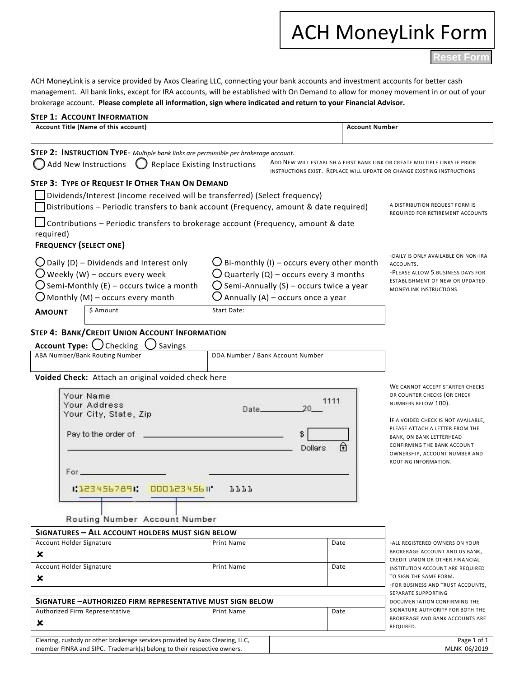# ACH MoneyLink Form

**Reset Form**

ACH MoneyLink is a service provided by Axos Clearing LLC, connecting your bank accounts and investment accounts for better cash management. All bank links, except for IRA accounts, will be established with On Demand to allow for money movement in or out of your brokerage account. **Please complete all information, sign where indicated and return to your Financial Advisor.** 

| <b>STEP 1: ACCOUNT INFORMATION</b>                                                                                                                                                                                    |                                                                                                                                                     |                                  |                              |                                                                     |  |
|-----------------------------------------------------------------------------------------------------------------------------------------------------------------------------------------------------------------------|-----------------------------------------------------------------------------------------------------------------------------------------------------|----------------------------------|------------------------------|---------------------------------------------------------------------|--|
| Account Title (Name of this account)                                                                                                                                                                                  |                                                                                                                                                     |                                  | <b>Account Number</b>        |                                                                     |  |
| STEP 2: INSTRUCTION TYPE- Multiple bank links are permissible per brokerage account.                                                                                                                                  |                                                                                                                                                     |                                  |                              |                                                                     |  |
| Add New Instructions<br><b>Replace Existing Instructions</b><br>ADD NEW WILL ESTABLISH A FIRST BANK LINK OR CREATE MULTIPLE LINKS IF PRIOR<br>INSTRUCTIONS EXIST. REPLACE WILL UPDATE OR CHANGE EXISTING INSTRUCTIONS |                                                                                                                                                     |                                  |                              |                                                                     |  |
| STEP 3: TYPE OF REQUEST IF OTHER THAN ON DEMAND                                                                                                                                                                       |                                                                                                                                                     |                                  |                              |                                                                     |  |
| Dividends/Interest (income received will be transferred) (Select frequency)                                                                                                                                           |                                                                                                                                                     |                                  |                              |                                                                     |  |
| Distributions - Periodic transfers to bank account (Frequency, amount & date required)                                                                                                                                |                                                                                                                                                     |                                  |                              | A DISTRIBUTION REQUEST FORM IS<br>REQUIRED FOR RETIREMENT ACCOUNTS  |  |
| $\Box$ Contributions – Periodic transfers to brokerage account (Frequency, amount & date<br>required)                                                                                                                 |                                                                                                                                                     |                                  |                              |                                                                     |  |
| <b>FREQUENCY (SELECT ONE)</b>                                                                                                                                                                                         |                                                                                                                                                     |                                  |                              |                                                                     |  |
|                                                                                                                                                                                                                       |                                                                                                                                                     |                                  |                              | -DAILY IS ONLY AVAILABLE ON NON-IRA                                 |  |
| $\bigcup$ Daily (D) – Dividends and Interest only                                                                                                                                                                     | $\bigcup$ Bi-monthly (I) – occurs every other month                                                                                                 |                                  |                              | ACCOUNTS.<br>-PLEASE ALLOW 5 BUSINESS DAYS FOR                      |  |
| $\bigcup$ Weekly (W) – occurs every week                                                                                                                                                                              | $\bigcup$ Quarterly (Q) – occurs every 3 months<br>$\bigcup$ Semi-Annually (S) – occurs twice a year<br>$\bigcup$ Annually (A) – occurs once a year |                                  |                              | ESTABLISHMENT OF NEW OR UPDATED<br>MONEYLINK INSTRUCTIONS           |  |
| $\bigcup$ Semi-Monthly (E) – occurs twice a month                                                                                                                                                                     |                                                                                                                                                     |                                  |                              |                                                                     |  |
| $\bigcirc$ Monthly (M) – occurs every month                                                                                                                                                                           |                                                                                                                                                     |                                  |                              |                                                                     |  |
| \$ Amount<br><b>AMOUNT</b>                                                                                                                                                                                            | Start Date:                                                                                                                                         |                                  |                              |                                                                     |  |
| <b>STEP 4: BANK/CREDIT UNION ACCOUNT INFORMATION</b>                                                                                                                                                                  |                                                                                                                                                     |                                  |                              |                                                                     |  |
| Account Type: $\bigcup$ Checking<br><b>Savings</b>                                                                                                                                                                    |                                                                                                                                                     |                                  |                              |                                                                     |  |
| ABA Number/Bank Routing Number                                                                                                                                                                                        |                                                                                                                                                     | DDA Number / Bank Account Number |                              |                                                                     |  |
|                                                                                                                                                                                                                       |                                                                                                                                                     |                                  |                              |                                                                     |  |
| Voided Check: Attach an original voided check here                                                                                                                                                                    |                                                                                                                                                     |                                  |                              | WE CANNOT ACCEPT STARTER CHECKS                                     |  |
| Your Name                                                                                                                                                                                                             |                                                                                                                                                     |                                  | OR COUNTER CHECKS (OR CHECK  |                                                                     |  |
| Your Address                                                                                                                                                                                                          | Date.                                                                                                                                               | 1111<br>20                       |                              | NUMBERS BELOW 100).                                                 |  |
| Your City, State, Zip                                                                                                                                                                                                 |                                                                                                                                                     |                                  |                              | IF A VOIDED CHECK IS NOT AVAILABLE,                                 |  |
| Pay to the order of<br>\$<br>ি                                                                                                                                                                                        |                                                                                                                                                     |                                  |                              | PLEASE ATTACH A LETTER FROM THE                                     |  |
|                                                                                                                                                                                                                       |                                                                                                                                                     |                                  |                              | BANK, ON BANK LETTERHEAD<br>CONFIRMING THE BANK ACCOUNT             |  |
|                                                                                                                                                                                                                       |                                                                                                                                                     | Dollars                          |                              | OWNERSHIP, ACCOUNT NUMBER AND                                       |  |
| For _____                                                                                                                                                                                                             |                                                                                                                                                     |                                  |                              | ROUTING INFORMATION.                                                |  |
|                                                                                                                                                                                                                       |                                                                                                                                                     |                                  |                              |                                                                     |  |
| 00012345611<br>1.1234567891.                                                                                                                                                                                          | 7777                                                                                                                                                |                                  |                              |                                                                     |  |
|                                                                                                                                                                                                                       |                                                                                                                                                     |                                  |                              |                                                                     |  |
| Routing Number Account Number                                                                                                                                                                                         |                                                                                                                                                     |                                  |                              |                                                                     |  |
| SIGNATURES - ALL ACCOUNT HOLDERS MUST SIGN BELOW                                                                                                                                                                      |                                                                                                                                                     |                                  |                              |                                                                     |  |
| Account Holder Signature                                                                                                                                                                                              | Print Name                                                                                                                                          |                                  | Date                         | -ALL REGISTERED OWNERS ON YOUR                                      |  |
| ×                                                                                                                                                                                                                     |                                                                                                                                                     |                                  |                              | BROKERAGE ACCOUNT AND US BANK,<br>CREDIT UNION OR OTHER FINANCIAL   |  |
| Account Holder Signature                                                                                                                                                                                              | <b>Print Name</b>                                                                                                                                   |                                  | Date                         | INSTITUTION ACCOUNT ARE REQUIRED                                    |  |
| ×                                                                                                                                                                                                                     |                                                                                                                                                     |                                  |                              | TO SIGN THE SAME FORM.<br>-FOR BUSINESS AND TRUST ACCOUNTS,         |  |
|                                                                                                                                                                                                                       |                                                                                                                                                     |                                  |                              | SEPARATE SUPPORTING                                                 |  |
| SIGNATURE - AUTHORIZED FIRM REPRESENTATIVE MUST SIGN BELOW                                                                                                                                                            |                                                                                                                                                     |                                  | DOCUMENTATION CONFIRMING THE |                                                                     |  |
| Authorized Firm Representative                                                                                                                                                                                        | Print Name                                                                                                                                          |                                  | Date                         | SIGNATURE AUTHORITY FOR BOTH THE<br>BROKERAGE AND BANK ACCOUNTS ARE |  |
| ×                                                                                                                                                                                                                     |                                                                                                                                                     |                                  |                              | REQUIRED.                                                           |  |
| Clearing, custody or other brokerage services provided by Axos Clearing, LLC,<br>member FINRA and SIPC. Trademark(s) belong to their respective owners.                                                               |                                                                                                                                                     |                                  |                              | Page 1 of 1<br>MLNK 06/2019                                         |  |